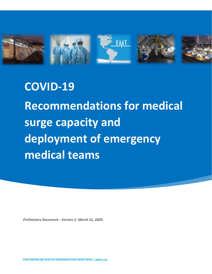

**COVID-19 Recommendations for medical surge capacity and deployment of emergency medical teams**

*Preliminary Document - Version 2. March 31, 2020.*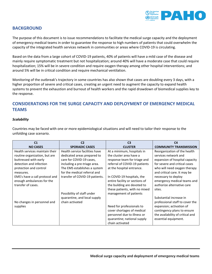

## **BACKGROUND**

The purpose of this document is to issue recommendations to facilitate the medical surge capacity and the deployment of emergency medical teams in order to guarantee the response to high numbers of patients that could overwhelm the capacity of the integrated health services network in communities or areas where COVID-19 is circulating.

Based on the data from a large cohort of COVID-19 patients, 40% of patients will have a mild case of the disease and mainly require symptomatic treatment but not hospitalization; around 40% will have a moderate case that could require hospitalization; 15% will be in severe condition and require oxygen therapy among other hospital interventions; and around 5% will be in critical condition and require mechanical ventilation.

Monitoring of the outbreak's trajectory in some countries has also shown that cases are doubling every 3 days, with a higher proportion of severe and critical cases, creating an urgent need to augment the capacity to expand health systems to prevent the exhaustion and burnout of health workers and the rapid drawdown of biomedical supplies key to the response.

## **CONSIDERATIONS FOR THE SURGE CAPACITY AND DEPLOYMENT OF EMERGENCY MEDICAL TEAMS**

### *Scalability*

Countries may be faced with one or more epidemiological situations and will need to tailor their response to the unfolding case scenario.

| C <sub>1</sub>                 | C2                             | C <sub>3</sub>                 | C <sub>4</sub>                   |
|--------------------------------|--------------------------------|--------------------------------|----------------------------------|
| <b>NO CASES</b>                | <b>SPORADIC CASES</b>          | <b>CLUSTER</b>                 | <b>COMMUNITY TRANSMISSION</b>    |
| Health services maintain their | Health service facilities have | At a minimum, hospitals in     | Reorganization of the health     |
| routine organization, but are  | dedicated areas prepared to    | the cluster area have a        | services network and             |
| buttressed with early          | care for COVID-19 cases,       | response team for triage and   | expansion of hospital capacity   |
| detection and infection        | including a pre-triage area.   | referral of COVID-19 patients  | for severe and critical cases    |
| protection and control         | The EMS establishes a system   | at the hospital entrance.      | who will need oxygen therapy     |
| measures.                      | for the medical referral and   |                                | and critical care. It may be     |
| EMS's have a call protocol and | transfer of COVID-19 patients. | In COVID-19 hospitals, the     | necessary to deploy              |
| enough ambulances for the      |                                | entire facility or sections of | emergency medical teams and      |
| transfer of cases.             |                                | the building are devoted to    | authorize alternative care       |
|                                |                                | these patients, with no mixed  | sites.                           |
|                                | Possibility of staff under     | management of patients         |                                  |
|                                | quarantine, and local supply   |                                | Substantial increase in          |
| No changes in personnel and    | chain activated                |                                | professional staff to cover the  |
| supplies                       |                                | Need for professionals to      | expansion; activation of         |
|                                |                                | cover shortages of medical     | contingency plans to ensure      |
|                                |                                | personnel due to illness or    | the availability of critical and |
|                                |                                | quarantine; national supply    | essential equipment.             |
|                                |                                | chain activated                |                                  |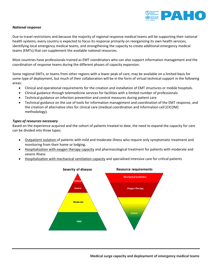

### *National response*

Due to travel restrictions and because the majority of regional response medical teams will be supporting their national health systems, every country is expected to focus its response primarily on reorganizing its own health services, identifying local emergency medical teams, and strengthening the capacity to create additional emergency medical teams (EMTs) that can supplement the available national resources.

Most countries have professionals trained as EMT coordinators who can also support information management and the coordination of response teams during the different phases of capacity expansion.

Some regional EMTs, or teams from other regions with a lower peak of care, may be available on a limited basis for some type of deployment, but much of their collaboration will be in the form of virtual technical support in the following areas:

- Clinical and operational requirements for the creation and installation of EMT structures or mobile hospitals.
- Clinical guidance through telemedicine services for facilities with a limited number of professionals
- Technical guidance on infection prevention and control measures during patient care
- Technical guidance on the use of tools for information management and coordination of the EMT response, and the creation of alternative sites for clinical care (medical coordination and information cell [CICOM] methodology).

### *Types of resources necessary*

Based on the experience acquired and the cohort of patients treated to date, the need to expand the capacity for care can be divided into three types:

- Outpatient isolation of patients with mild and moderate illness who require only symptomatic treatment and monitoring from their home or lodging.
- Hospitalization with oxygen therapy capacity and pharmacological treatment for patients with moderate and severe illness
- Hospitalization with mechanical ventilation capacity and specialized intensive care for critical patients

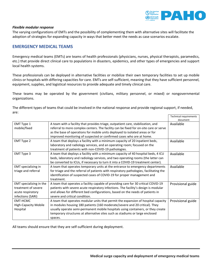

#### *Flexible modular response*

The varying configurations of EMTs and the possibility of complementing them with alternative sites will facilitate the adoption of strategies for expanding capacity in ways that better meet the needs as case scenarios escalate.

## **EMERGENCY MEDICAL TEAMS**

Emergency medical teams (EMTs) are teams of health professionals (physicians, nurses, physical therapists, paramedics, etc.) that provide direct clinical care to populations in disasters, epidemics, and other types of emergencies and support local health systems.

These professionals can be deployed in alternative facilities or mobilize their own temporary facilities to set up mobile clinics or hospitals with differing capacities for care. EMTs are self-sufficient, meaning that they have sufficient personnel, equipment, supplies, and logistical resources to provide adequate and timely clinical care.

These teams may be operated by the government (civilians, military personnel, or mixed) or nongovernmental organizations.

The different types of teams that could be involved in the national response and provide regional support, if needed, are:

|                             |                                                                                        | <b>Technical requirements</b><br>document |
|-----------------------------|----------------------------------------------------------------------------------------|-------------------------------------------|
| <b>EMT Type 1</b>           | A team with a facility that provides triage, outpatient care, stabilization, and       | Available                                 |
| mobile/fixed                | referral to more complex centers. The facility can be fixed for on-site care or serve  |                                           |
|                             | as the base of operations for mobile units deployed to isolated areas or for           |                                           |
|                             | improved monitoring of suspected or confirmed cases who are at home.                   |                                           |
| <b>EMT Type 2</b>           | A team that deploys a facility with a minimum capacity of 20 inpatient beds,           | Available                                 |
|                             | laboratory and radiology services, and an operating room; focused on the               |                                           |
|                             | treatment of patients with non-COVID-19 pathologies.                                   |                                           |
| EMT Type 3                  | A team that deploys a facility with a minimum capacity of 40 hospital beds, 4 ICU      | Available                                 |
|                             | beds, laboratory and radiology services, and two operating rooms (the latter can       |                                           |
|                             | be converted to ICUs, if necessary to turn it into a COVID-19 treatment center).       |                                           |
| <b>EMT</b> specializing in  | A team that operates temporary units at the entrance to emergency departments          | Available                                 |
| triage and referral         | for triage and the referral of patients with respiratory pathologies, facilitating the |                                           |
|                             | identification of suspected cases of COVID-19 for proper management and                |                                           |
|                             | treatment.                                                                             |                                           |
| EMT specializing in the     | A team that operates a facility capable of providing care for 30 critical COVID-19     | Provisional guide                         |
| treatment of severe         | patients with severe acute respiratory infections. The facility's design is modular    |                                           |
| acute respiratory           | and allows for different bed configurations, based on the needs of patients in         |                                           |
| infections (SARI)           | severe and critical condition.                                                         |                                           |
| EMT-HCMC                    | A team that operates modular units that permit the expansion of hospital capacity      | Provisional guide                         |
| <b>High-Capacity Mobile</b> | in modules housing 180 patients (160 moderate/severe and 20 critical). They            |                                           |
| Hospital                    | usually operate semi-permanent mobile hospitals using containers, or they create       |                                           |
|                             | temporary structures at alternative sites such as stadiums or large enclosed           |                                           |
|                             | spaces.                                                                                |                                           |

All teams should ensure that they are self-sufficient during deployment.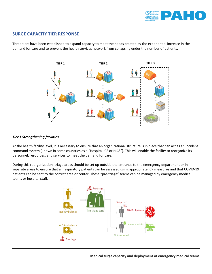

## **SURGE CAPACITY TIER RESPONSE**

Three tiers have been established to expand capacity to meet the needs created by the exponential increase in the demand for care and to prevent the health services network from collapsing under the number of patients.



### *Tier 1 Strengthening facilities*

At the health facility level, it is necessary to ensure that an organizational structure is in place that can act as an incident command system (known in some countries as a "Hospital ICS or HICS"). This will enable the facility to reorganize its personnel, resources, and services to meet the demand for care.

During this reorganization, triage areas should be set up outside the entrance to the emergency department or in separate areas to ensure that all respiratory patients can be assessed using appropriate ICP measures and that COVID-19 patients can be sent to the correct area or center. These "pre-triage" teams can be managed by emergency medical teams or hospital staff.



 **Medical surge capacity and deployment of emergency medical teams**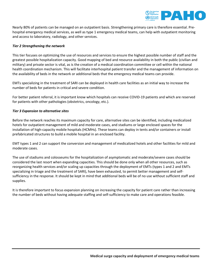

Nearly 80% of patients can be managed on an outpatient basis. Strengthening primary care is therefore essential. Prehospital emergency medical services, as well as type 1 emergency medical teams, can help with outpatient monitoring and access to laboratory, radiology, and other services.

## *Tier 2 Strengthening the network*

This tier focuses on optimizing the use of resources and services to ensure the highest possible number of staff and the greatest possible hospitalization capacity. Good mapping of bed and resource availability in both the public (civilian and military) and private sector is vital, as is the creation of a medical coordination committee or cell within the national health coordination mechanism. This will facilitate interhospital patient transfer and the management of information on the availability of beds in the network or additional beds that the emergency medical teams can provide.

EMTs specializing in the treatment of SARI can be deployed in health care facilities as an initial way to increase the number of beds for patients in critical and severe condition.

For better patient referral, it is important know which hospitals can receive COVID-19 patients and which are reserved for patients with other pathologies (obstetrics, oncology, etc.).

### *Tier 3 Expansion to alternative sites*

Before the network reaches its maximum capacity for care, alternative sites can be identified, including medicalized hotels for outpatient management of mild and moderate cases, and stadiums or large enclosed spaces for the installation of high-capacity mobile hospitals (HCMHs). These teams can deploy in tents and/or containers or install prefabricated structures to build a mobile hospital in an enclosed facility.

EMT types 1 and 2 can support the conversion and management of medicalized hotels and other facilities for mild and moderate cases.

The use of stadiums and colosseums for the hospitalization of asymptomatic and moderate/severe cases should be considered the last resort when expanding capacities. This should be done only when all other resources, such as reorganizing health services and/or scaling up capacities through the deployment of EMTs (types 1 and 2 and EMTs specializing in triage and the treatment of SARI), have been exhausted, to permit better management and selfsufficiency in the response. It should be kept in mind that additional beds will be of no use without sufficient staff and supplies.

It is therefore important to focus expansion planning on increasing the capacity for patient care rather than increasing the number of beds without having adequate staffing and self-sufficiency to make care and operations feasible.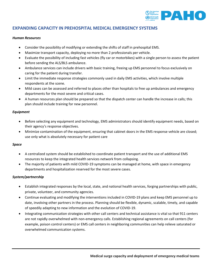

## **EXPANDING CAPACITY IN PREHOSPITAL MEDICAL EMERGENCY SYSTEMS**

### *Human Resources*

- Consider the possibility of modifying or extending the shifts of staff in prehospital EMS.
- Maximize transport capacity, deploying no more than 2 professionals per vehicle.
- Evaluate the possibility of including fast vehicles (fly car or motorbikes) with a single person to assess the patient before sending the ALS/BLS ambulance.
- Ambulance services can include drivers with basic training, freeing up EMS personnel to focus exclusively on caring for the patient during transfer.
- Limit the immediate response strategies commonly used in daily EMS activities, which involve multiple respondents at the scene.
- Mild cases can be assessed and referred to places other than hospitals to free up ambulances and emergency departments for the most severe and critical cases.
- A human resources plan should be prepared so that the dispatch center can handle the increase in calls; this plan should include training for new personnel.

### *Equipment*

- Before selecting any equipment and technology, EMS administrators should identify equipment needs, based on their agency's response objectives.
- Minimize contamination of the equipment, ensuring that cabinet doors in the EMS response vehicle are closed; use only what is absolutely necessary for patient care

## *Space*

- A centralized system should be established to coordinate patient transport and the use of additional EMS resources to keep the integrated health services network from collapsing.
- The majority of patients with mild COVID-19 symptoms can be managed at home, with space in emergency departments and hospitalization reserved for the most severe cases.

## *System/partnership*

- Establish integrated responses by the local, state, and national health services, forging partnerships with public, private, volunteer, and community agencies.
- Continue evaluating and modifying the interventions included in COVID-19 plans and keep EMS personnel up to date, involving other partners in the process. Planning should be flexible, dynamic, scalable, timely, and capable of speedily adapting to new information and the evolution of COVID-19.
- Integrating communication strategies with other call centers and technical assistance is vital so that 911 centers are not rapidly overwhelmed with non-emergency calls. Establishing regional agreements on call centers (for example, poison control centers) or EMS call centers in neighboring communities can help relieve saturated or overwhelmed communication systems.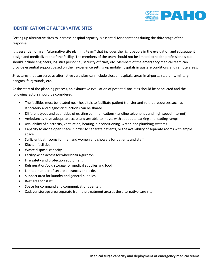

## **IDENTIFICATION OF ALTERNATIVE SITES**

Setting up alternative sites to increase hospital capacity is essential for operations during the third stage of the response.

It is essential form an "alternative site planning team" that includes the right people in the evaluation and subsequent design and medicalization of the facility. The members of the team should not be limited to health professionals but should include engineers, logistics personnel, security officials, etc. Members of the emergency medical team can provide essential support based on their experience setting up mobile hospitals in austere conditions and remote areas.

Structures that can serve as alternative care sites can include closed hospitals, areas in airports, stadiums, military hangars, fairgrounds, etc.

At the start of the planning process, an exhaustive evaluation of potential facilities should be conducted and the following factors should be considered:

- The facilities must be located near hospitals to facilitate patient transfer and so that resources such as laboratory and diagnostic functions can be shared
- Different types and quantities of existing communications (landline telephones and high-speed Internet)
- Ambulances have adequate access and are able to move, with adequate parking and loading ramps
- Availability of electricity, ventilation, heating, air conditioning, water, and plumbing systems
- Capacity to divide open space in order to separate patients, or the availability of separate rooms with ample space.
- Sufficient bathrooms for men and women and showers for patients and staff
- Kitchen facilities
- Waste disposal capacity
- Facility-wide access for wheelchairs/gurneys
- Fire safety and protection equipment
- Refrigeration/cold storage for medical supplies and food
- Limited number of secure entrances and exits
- Support area for laundry and general supplies
- Rest area for staff
- Space for command and communications center.
- Cadaver storage area separate from the treatment area at the alternative care site